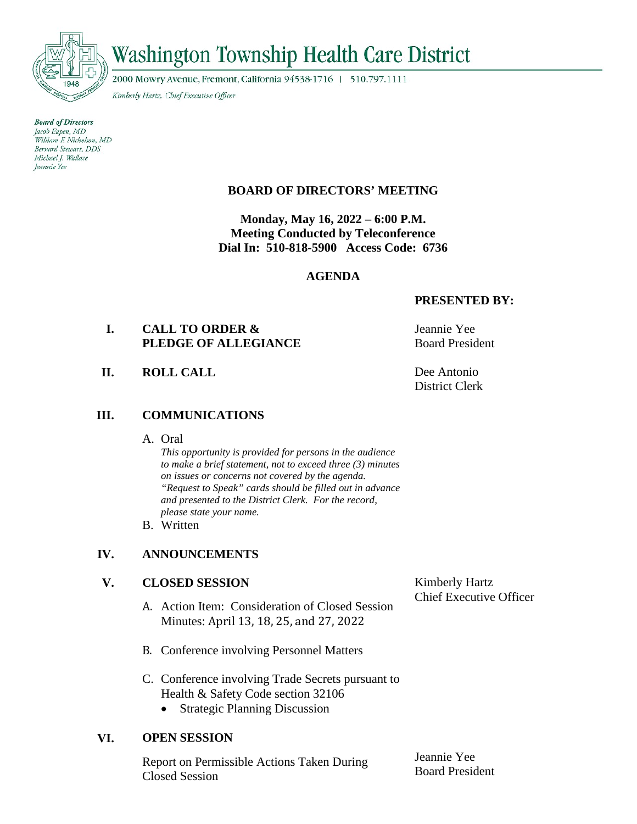

# **Washington Township Health Care District**

2000 Mowry Avenue, Fremont, California 94538-1716 | 510.797.1111

Kimberly Hartz, Chief Executive Officer

**Board of Directors** Jacob Eapen, MD William F. Nicholson, MD Bernard Stewart, DDS Michael I. Wallace Jeannie Yee

## **BOARD OF DIRECTORS' MEETING**

**Monday, May 16, 2022 – 6:00 P.M. Meeting Conducted by Teleconference Dial In: 510-818-5900 Access Code: 6736**

#### **AGENDA**

#### **PRESENTED BY:**

## **I. CALL TO ORDER & PLEDGE OF ALLEGIANCE**

**II. ROLL CALL** Dee Antonio

#### **III. COMMUNICATIONS**

A. Oral

*This opportunity is provided for persons in the audience to make a brief statement, not to exceed three (3) minutes on issues or concerns not covered by the agenda. "Request to Speak" cards should be filled out in advance and presented to the District Clerk. For the record, please state your name.*

B. Written

## **IV. ANNOUNCEMENTS**

#### **V. CLOSED SESSION**

- A. Action Item: Consideration of Closed Session Minutes: April 13, 18, 25, and 27, 2022
- B. Conference involving Personnel Matters
- C. Conference involving Trade Secrets pursuant to Health & Safety Code section 32106
	- Strategic Planning Discussion

#### **VI. OPEN SESSION**

Report on Permissible Actions Taken During Closed Session

Jeannie Yee Board President

Kimberly Hartz Chief Executive Officer

Jeannie Yee Board President

District Clerk